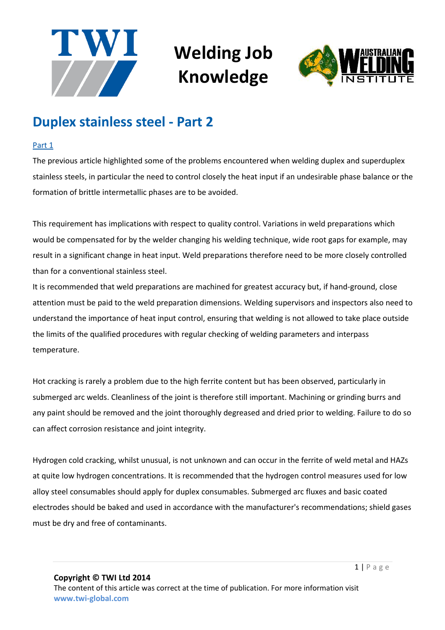



#### **Duplex stainless steel - Part 2**

#### Part 1

The previous article highlighted some of the problems encountered when welding duplex and superduplex stainless steels, in particular the need to control closely the heat input if an undesirable phase balance or the formation of brittle intermetallic phases are to be avoided.

This requirement has implications with respect to quality control. Variations in weld preparations which would be compensated for by the welder changing his welding technique, wide root gaps for example, may result in a significant change in heat input. Weld preparations therefore need to be more closely controlled than for a conventional stainless steel.

It is recommended that weld preparations are machined for greatest accuracy but, if hand-ground, close attention must be paid to the weld preparation dimensions. Welding supervisors and inspectors also need to understand the importance of heat input control, ensuring that welding is not allowed to take place outside the limits of the qualified procedures with regular checking of welding parameters and interpass temperature.

Hot cracking is rarely a problem due to the high ferrite content but has been observed, particularly in submerged arc welds. Cleanliness of the joint is therefore still important. Machining or grinding burrs and any paint should be removed and the joint thoroughly degreased and dried prior to welding. Failure to do so can affect corrosion resistance and joint integrity.

Hydrogen cold cracking, whilst unusual, is not unknown and can occur in the ferrite of weld metal and HAZs at quite low hydrogen concentrations. It is recommended that the hydrogen control measures used for low alloy steel consumables should apply for duplex consumables. Submerged arc fluxes and basic coated electrodes should be baked and used in accordance with the manufacturer's recommendations; shield gases must be dry and free of contaminants.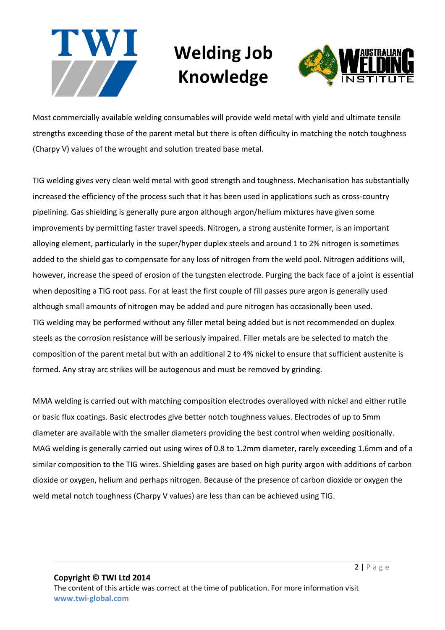



Most commercially available welding consumables will provide weld metal with yield and ultimate tensile strengths exceeding those of the parent metal but there is often difficulty in matching the notch toughness (Charpy V) values of the wrought and solution treated base metal.

TIG welding gives very clean weld metal with good strength and toughness. Mechanisation has substantially increased the efficiency of the process such that it has been used in applications such as cross-country pipelining. Gas shielding is generally pure argon although argon/helium mixtures have given some improvements by permitting faster travel speeds. Nitrogen, a strong austenite former, is an important alloying element, particularly in the super/hyper duplex steels and around 1 to 2% nitrogen is sometimes added to the shield gas to compensate for any loss of nitrogen from the weld pool. Nitrogen additions will, however, increase the speed of erosion of the tungsten electrode. Purging the back face of a joint is essential when depositing a TIG root pass. For at least the first couple of fill passes pure argon is generally used although small amounts of nitrogen may be added and pure nitrogen has occasionally been used. TIG welding may be performed without any filler metal being added but is not recommended on duplex steels as the corrosion resistance will be seriously impaired. Filler metals are be selected to match the composition of the parent metal but with an additional 2 to 4% nickel to ensure that sufficient austenite is formed. Any stray arc strikes will be autogenous and must be removed by grinding.

MMA welding is carried out with matching composition electrodes overalloyed with nickel and either rutile or basic flux coatings. Basic electrodes give better notch toughness values. Electrodes of up to 5mm diameter are available with the smaller diameters providing the best control when welding positionally. MAG welding is generally carried out using wires of 0.8 to 1.2mm diameter, rarely exceeding 1.6mm and of a similar composition to the TIG wires. Shielding gases are based on high purity argon with additions of carbon dioxide or oxygen, helium and perhaps nitrogen. Because of the presence of carbon dioxide or oxygen the weld metal notch toughness (Charpy V values) are less than can be achieved using TIG.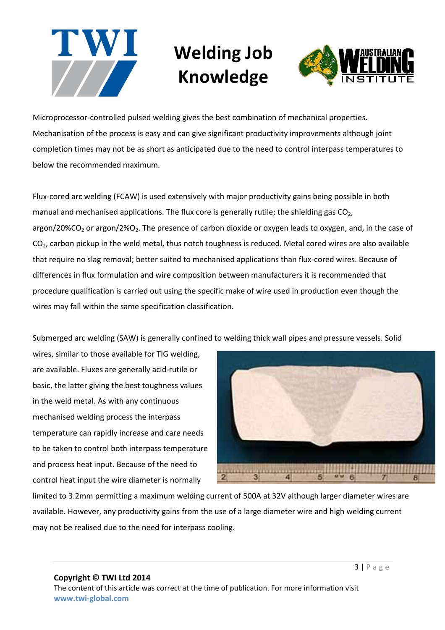



Microprocessor-controlled pulsed welding gives the best combination of mechanical properties. Mechanisation of the process is easy and can give significant productivity improvements although joint completion times may not be as short as anticipated due to the need to control interpass temperatures to below the recommended maximum.

Flux-cored arc welding (FCAW) is used extensively with major productivity gains being possible in both manual and mechanised applications. The flux core is generally rutile; the shielding gas  $CO<sub>2</sub>$ , argon/20%CO<sub>2</sub> or argon/2%O<sub>2</sub>. The presence of carbon dioxide or oxygen leads to oxygen, and, in the case of CO<sub>2</sub>, carbon pickup in the weld metal, thus notch toughness is reduced. Metal cored wires are also available that require no slag removal; better suited to mechanised applications than flux-cored wires. Because of differences in flux formulation and wire composition between manufacturers it is recommended that procedure qualification is carried out using the specific make of wire used in production even though the wires may fall within the same specification classification.

Submerged arc welding (SAW) is generally confined to welding thick wall pipes and pressure vessels. Solid

wires, similar to those available for TIG welding, are available. Fluxes are generally acid-rutile or basic, the latter giving the best toughness values in the weld metal. As with any continuous mechanised welding process the interpass temperature can rapidly increase and care needs to be taken to control both interpass temperature and process heat input. Because of the need to control heat input the wire diameter is normally



limited to 3.2mm permitting a maximum welding current of 500A at 32V although larger diameter wires are available. However, any productivity gains from the use of a large diameter wire and high welding current may not be realised due to the need for interpass cooling.